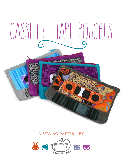# CASSETTE TAPE POUCHES

# **a sewing pattern by**

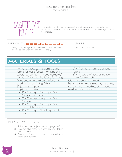sewing tutorial



This project on its own is just a simple zippered pouch, sewn together with French seams. The optional appilque turn it into an homage to retro technology.

# $\Box$

Really basic, though there are French seams and some  $\overline{a}$  one  $\overline{a}$  x 4 1/2" pouch zippers to deal with if you find those tricky.

makes:

# **materials & tools**

| • 1/4 yd. of light to medium weight             | • 2" x 1" scrap of white appliqué     |
|-------------------------------------------------|---------------------------------------|
| fabric for case (cotton or light twill          | fabric                                |
| would be perfect - I used corduroy)             | · 8" x 8" scrap of light or heavy     |
| · 1/4 yd. of lightweight fabric for lining      | duty fusible web                      |
| (light cotton would be perfect -                | • Matching sewing thread              |
| used polyester lining fabric)                   | Basic sewing tools (sewing machine,   |
| · 8" (at least) zipper                          | scissors, iron, needles, pins, fabric |
| · Appliqué supplies:                            | marker, seam ripper)                  |
| $\cdot$ 2" $\times$ 6" scrap of appliqué fabric |                                       |
| for bottom section                              |                                       |
| $\cdot$ 3" $\times$ 7" scrap of appliqué fabric |                                       |
| for label                                       |                                       |
| • 2" x 5" scrap of appliqué fabric              |                                       |
| for middle section                              |                                       |
| $\cdot$ 2" $\times$ 5" scrap of black appliqué  |                                       |
| fabric                                          |                                       |

### **before you begin:**

- **1.** Print out the project pattern, pages 6-7
- **2.** Lay out the pattern pieces on your fabric and cut them out
- **3.** Mark the fabric pieces with the guidelines from the pattern

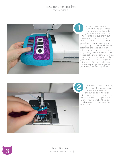sewing tutorial



As per usual, we start with the appliqué. Trace the appliqué patterns to your fusible web, iron them to your fabric, cut them out, then arrange them on your pouch according to the pattern guideline. This part is a ton of fun, getting to choose all the wild colors for the label and every thing. And you have every excuse to go crazy with the colors since it just looks more retro :D I sewed mine on with a zigzag stitch, but you could also use a straight or satin stitch. Or you could skip the sewing altogether if you've used heavy duty fusible web. As pe<br>
with the appount fit of your fit<br>
the appount fit of your fit<br>
then arrang pouch accol<br>
guideline. The fun, getting<br>
colors for the thing. And y<br>
to go crazy<br>
it just looks<br>
mine on wit<br>
you could a<br>
satin stitch.<br>



Trim your zipper to 7" long, then sew the zipper tabs on the ends: sandwich the cut ends of the zipper between two of the zipper tab pieces and sew through all the layers. This will make the zipper much easier to install into the

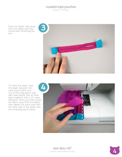sewing tutorial

Press the zipper tabs away from the zipper and they should look something like this.



To install the zipper, layer the zipper between the outer pouch fabric and one of the lining pieces with right sides facing. Sew all three layers together with a 1/4" seam allowance. When you finish, press the fabric away from the zipper, then repeat the same step with the other side of the zipper and the remaining pouch pieces.



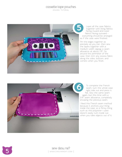sewing tutorial



Layer all the case fabrics together with lining fabrics facing inward and outer fabrics facing outward – everything should be arranged as if the case were finished.

Pin the edges together as precisely as you can, then sew the layers together with a medium width zigzag; a seam allowance at about 1/8". Go around the perimeter of the case, then trim any excess fabric along the sides, bottom, and corners when you finish. Layer all the case fabrics<br>together with lining fabrics<br>facing inward and outer<br>everything should be arranged<br>as if the case were finished.<br>Pin the edges together as<br>precisely as you can, then sew<br>the layers together with



To complete the French seam, turn the whole case right side out and press it flat. Sew the same seam again, but this time with a 3/8" seam allowance, completely encasing the previous seam.

I liked this French seam method because it anchors your lining inside the case, so a flimsy lining such as this polyester I used doesn't easily turn inside out

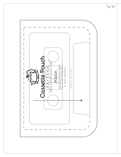